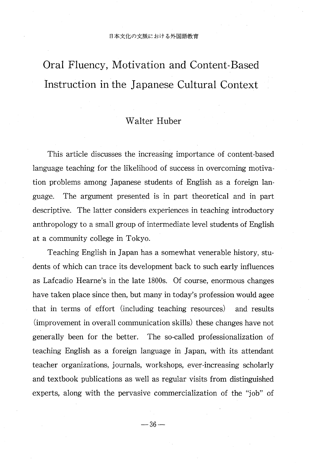# Oral Fluency, Motivation and Content-Based Instruction in the Japanese Cultural Context

## Walter Huber

This article discusses the increasing importance of content-based language teaching for the likelihood of success in overcoming motivation problems among Japanese students of English as a foreign language. The argument presented is in part theoretical and in part descriptive. The latter considers experiences in teaching introductory anthropology to a small group of intermediate level students of English at a community college in Tokyo.

Teaching English in Japan has a somewhat venerable history, students of which can trace its development back to such early influences as Lafcadio Hearne's in the late 1800s. Of course, enormous changes have taken place since then, but many in today's profession would agee that in terms of effort (including teaching resources) and results (improvement in overall communication skills) these changes have not generally been for the better. The so-called professionalization of teaching English as a foreign language in Japan, with its attendant teacher organizations, journals, workshops, ever-increasing scholarly and textbook publications as well as regular visits from distinguished experts, along with the pervasive commercialization of the "job" of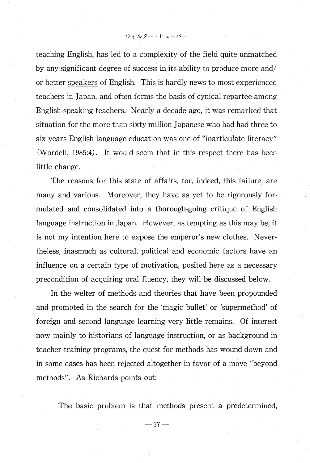teaching English, has led to a complexity of the field quite unmatched by any significant degree of success in its ability to produce more and/ or better speakers of English. This is hardly news to most experienced teachers in Japan, and often forms the basis of cynical repartee among English-speaking teachers. Nearly a decade ago, it was remarked that situation for the more than sixty million Japanese who had had three to six years English language education was one of "inarticulate literacy" (Wordell, 1985:4) . It would seem that in this respect there has been little change.

 The reasons for this state of affairs, for, indeed, this failure, are many and various. Moreover, they have as yet to be rigorously formulated and consolidated into a thorough-going critique of English language instruction in Japan. However, as tempting as this may be, it is not my intention here to expose the emperor's new clothes. Nevertheless, inasmuch as cultural, political and economic factors have an influence on a certain type of motivation, posited here as a necessary precondition of acquiring oral fluency, they will be discussed below.

In the welter of methods and theories that have been propounded and promoted in the search for the 'magic bullet' or `supermethod' of foreign and second language learning very little remains. Of interest now mainly to historians of language instruction, or as background in teacher training programs, the quest for methods has wound down and in some cases has been rejected altogether in favor of a move "beyond methods". As Richards points out:

The basic problem is that methods present a predetermined,

 $-37-$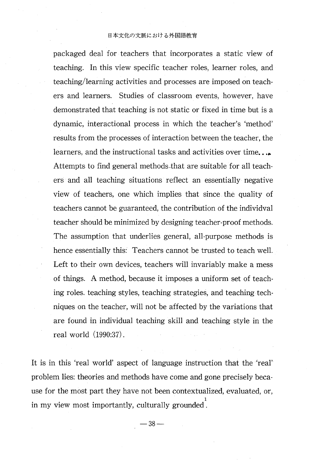packaged deal for teachers that incorporates a static view of teaching. In this view specific teacher roles, learner roles, and teaching/learning activities and processes are imposed on teachers and learners. Studies of classroom events, however, have demonstrated that teaching is not static or fixed in time but is a dynamic, interactional process in which the teacher's 'method' results from the processes of interaction between the teacher, the learners, and the instructional tasks and activities over time... Attempts to find general methods .that are suitable for all teachers and all teaching situations reflect an essentially negative view of teachers, one which implies that since the quality of teachers cannot be guaranteed, the contribution of the individval teacher should be minimized by designing teacher-proof methods. The assumption that underlies general, all-purpose methods is hence essentially this: Teachers cannot be trusted to teach well. Left to their own devices, teachers will invariably make a mess of things. A method, because it imposes a uniform set of teaching roles. teaching styles, teaching strategies, and teaching techniques on the teacher, will not be affected by the variations that are found in individual teaching skill and teaching style in the real world (1990:37) .

It is in this 'real world' aspect of language instruction that the 'real' problem lies: theories and methods have come and gone precisely because for the most part they have not been contextualized, evaluated, or, in my view most importantly, culturally grounded .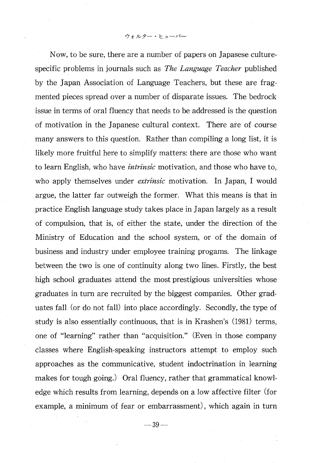Now, to be sure, there are a number of papers on Japasese culturespecific problems in journals such as *The Language Teacher* published by the Japan Association of Language Teachers, but these are fragmented pieces spread over a number of disparate issues. The bedrock issue in terms of oral fluency that needs to be addressed is the question of motivation in the Japanese cultural context. There are of course many answers to this question. Rather than compiling a long list, it is likely more fruitful here to simplify matters: there are those who want to learn English, who have *intrinsic* motivation, and those who have to, who apply themselves under *extrinsic* motivation. In Japan, I would argue, the latter far outweigh the former. What this means is that in practice English language study takes place in Japan largely as a result of compulsion, that is, of either the state, under the direction of the Ministry of Education and the school system, or of the domain of business and industry under employee training progams. The linkage between the two is one of continuity along two lines. Firstly, the best high school graduates attend the most prestigious universities whose graduates in turn are recruited by the biggest companies. Other graduates fall (or do not fall) into place accordingly. Secondly, the type of study is also essentially continuous, that is in Krashen's (1981) terms, one of "learning" rather than "acquisition." (Even in those company classes where English-speaking instructors attempt to employ such approaches as the communicative, student indoctrination in learning makes for tough going.) Oral fluency, rather that grammatical knowledge which results from learning, depends on a low affective filter (for example, a minimum of fear or embarrassment) , which again in turn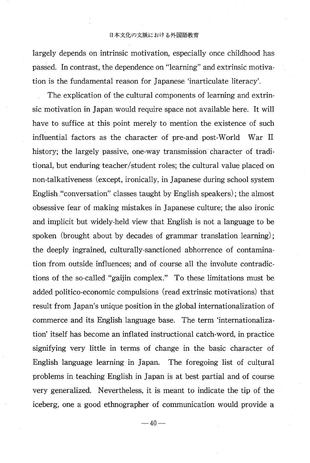largely depends on intrinsic motivation, especially once childhood has passed. In contrast, the dependence on "learning" and extrinsic motivation is the fundamental reason for Japanese 'inarticulate literacy'.

The explication of the cultural components of learning and extrinsic motivation in Japan would require space not available here. It will have to suffice at this point merely to mention the existence of such influential factors as the character of pre-and post-World War II history; the largely passive, one-way transmission character of traditional, but enduring teacher/student roles; the cultural value placed on non-talkativeness (except, ironically, in Japanese during school system English "conversation" classes taught by English speakers); the almost obsessive fear of making mistakes in Japanese culture; the also ironic and implicit but widely-held view that English is not a language to be spoken (brought about by decades of grammar translation learning) ; the deeply ingrained, culturally-sanctioned abhorrence of contamination from outside influences; and of course all the involute contradictions of the so-called "gaijin complex." To these limitations must be added politico-economic compulsions (read extrinsic motivations) that result from Japan's unique position in the global internationalization of commerce and its English language base. The term 'internationalization' itself has become an inflated instructional catch-word, in practice signifying very little in terms of change in the basic character of English language learning in Japan. The foregoing list of cultural problems in teaching English in Japan is at best partial and of course very generalized. Nevertheless, it is meant to indicate the tip of the iceberg, one a good ethnographer of communication would provide a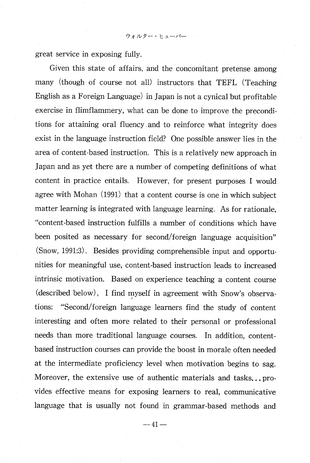great service in exposing fully.

Given this state of affairs, and the concomitant pretense among many (though of course not all) instructors that TEFL (Teaching English as a Foreign Language) in Japan is not a cynical but profitable exercise in flimflammery, what can be done to improve the preconditions for attaining oral fluency, and to reinforce what integrity does exist in the language instruction field? One possible answer lies in the area of content-based instruction. This is a relatively new approach in Japan and as yet there are a number of competing definitions of what content in practice entails. However, for present purposes I would agree with Mohan (1991) that a content course is one in which subject matter learning is integrated with language learning. As for rationale, "content -based instruction fulfills a number of conditions which have been posited as necessary for second/foreign language acquisition" (Snow, 1991:3). Besides providing comprehensible input and opportunities for meaningful use, content-based instruction leads to increased intrinsic motivation. Based on experience teaching a content course (described below), I find myself in agreement with Snow's observations: "Second/foreign language learners find the study of content interesting and often more related to their personal or professional needs than more traditional language courses. In addition, contentbased instruction courses can provide the boost in morale often needed at the intermediate proficiency level when motivation begins to sag. Moreover, the extensive use of authentic materials and tasks... provides effective means for exposing learners to real, communicative language that is usually not found in grammar-based methods and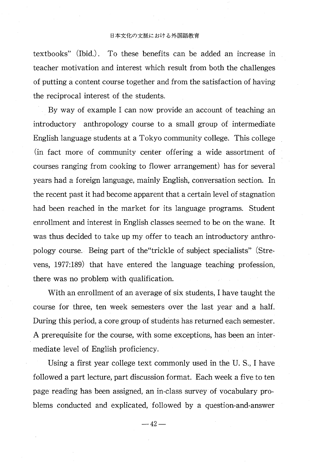textbooks" (Ibid.) . To these benefits can be added an increase in teacher motivation and interest which result from both the challenges of putting a content course together and from the satisfaction of having the reciprocal interest of the students.

By way of example I can now provide an account of teaching an introductory anthropology course to a small group of intermediate English language students at a Tokyo community college. This college (in fact more of community center offering a wide assortment of courses ranging from cooking to flower arrangement) has for several years had a foreign language, mainly English, conversation section. In the recent past it had become apparent that a certain level of stagnation had been reached in the market for its language programs. Student enrollment and interest in English classes seemed to be on the wane. It was thus decided to take up my offer to teach an introductory anthropology course. Being part of the"trickle of subject specialists" (Strevens, 1977:189) that have entered the language teaching profession, there was no problem with qualification.

With an enrollment of an average of six students, I have taught the course for three, ten week semesters over the last year and a half. During this period, a core group of students has returned each semester. A prerequisite for the course, with some exceptions, has been an intermediate level of English proficiency.

Using a first year college text commonly used in the U. S., I have followed a part lecture, part discussion format. Each week a five to ten page reading has been assigned, an in-class survey of vocabulary problems conducted and explicated, followed by a question-and-answer

 $-42-$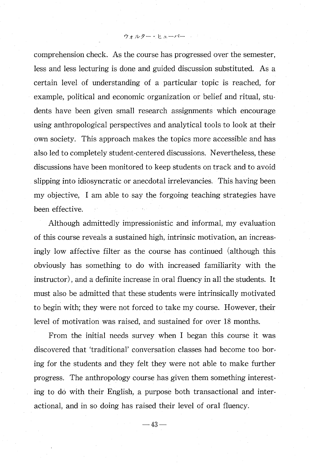comprehension check. As the course has progressed over the semester, less and less lecturing is done and guided discussion substituted. As a certain level of understanding of a particular topic is reached, for example, political and economic organization or belief and ritual, students have been given small research assignments which encourage using anthropological perspectives and analytical tools to look at their own society. This approach makes the topics more accessible and has also led to completely student-centered discussions. Nevertheless, these discussions have been monitored to keep students on track and to avoid slipping into idiosyncratic or anecdotal irrelevancies. This having been my objective, I am able to say the forgoing teaching strategies have been effective.

 Although admittedly impressionistic and informal, my evaluation of this course reveals a sustained high, intrinsic motivation, an increasingly low affective filter as the course has continued (although this obviously has something to do with increased familiarity with the instructor), and a definite increase in oral fluency in all the students. It must also be admitted that these students were intrinsically motivated to begin with; they were not forced to take my course. However, their level of motivation was raised, and sustained for over 18 months.

From the initial needs survey when I began this course it was discovered that 'traditional' conversation classes had become too boring for the students and they felt they were not able to make further progress. The anthropology course has given them something interesting to do with their English, a purpose both transactional and interactional, and in so doing has raised their level of oral fluency.

 $-43-$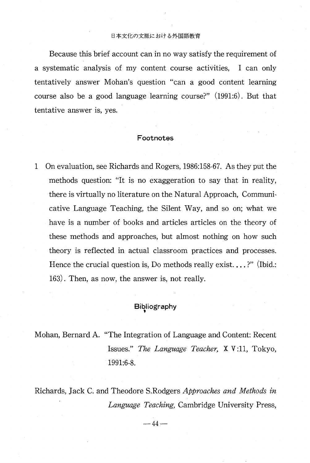Because this brief account can in no way satisfy the requirement of a systematic analysis of my content course activities, I can only tentatively answer Mohan's question "can a good content learning course also be a good language learning course?" (1991:6) . But that tentative answer is, yes.

### **Footnotes**

1 On evaluation, see Richards and Rogers, 1986:158-67. As they put the methods question: "It is no exaggeration to say that in reality, there is virtually no literature on the Natural Approach, Communicative Language Teaching, the Silent Way, and so on; what we have is a number of books and articles articles on the theory of these methods and approaches, but almost nothing on how such theory is reflected in actual classroom practices and processes. Hence the crucial question is, Do methods really exist....?" (Ibid.: 163) . Then, as now, the answer is, not really.

## **Bibliography**

Mohan, Bernard A. "The Integration of Language and Content: Recent Issues." The Language Teacher, X V :11, Tokyo, 1991:6-8.

Richards, Jack C. and Theodore S.Rodgers Approaches and Methods in Language Teaching, Cambridge University Press,

 $-44-$